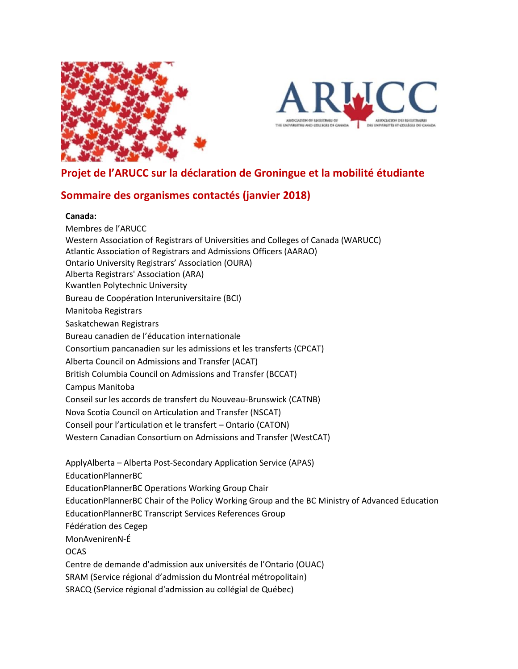



## **Projet de l'ARUCC sur la déclaration de Groningue et la mobilité étudiante**

## **Sommaire des organismes contactés (janvier 2018)**

## **Canada:**

Membres de l'ARUCC Western Association of Registrars of Universities and Colleges of Canada (WARUCC) Atlantic Association of Registrars and Admissions Officers (AARAO) Ontario University Registrars' Association (OURA) Alberta Registrars' Association (ARA) Kwantlen Polytechnic University Bureau de Coopération Interuniversitaire (BCI) Manitoba Registrars Saskatchewan Registrars Bureau canadien de l'éducation internationale Consortium pancanadien sur les admissions et les transferts (CPCAT) Alberta Council on Admissions and Transfer (ACAT) British Columbia Council on Admissions and Transfer (BCCAT) Campus Manitoba Conseil sur les accords de transfert du Nouveau-Brunswick (CATNB) Nova Scotia Council on Articulation and Transfer (NSCAT) Conseil pour l'articulation et le transfert – Ontario (CATON) Western Canadian Consortium on Admissions and Transfer (WestCAT) ApplyAlberta – Alberta Post-Secondary Application Service (APAS) EducationPlannerBC EducationPlannerBC Operations Working Group Chair EducationPlannerBC Chair of the Policy Working Group and the BC Ministry of Advanced Education EducationPlannerBC Transcript Services References Group Fédération des Cegep MonAvenirenN-É **OCAS** 

Centre de demande d'admission aux universités de l'Ontario (OUAC) SRAM (Service régional d'admission du Montréal métropolitain) SRACQ (Service régional d'admission au collégial de Québec)